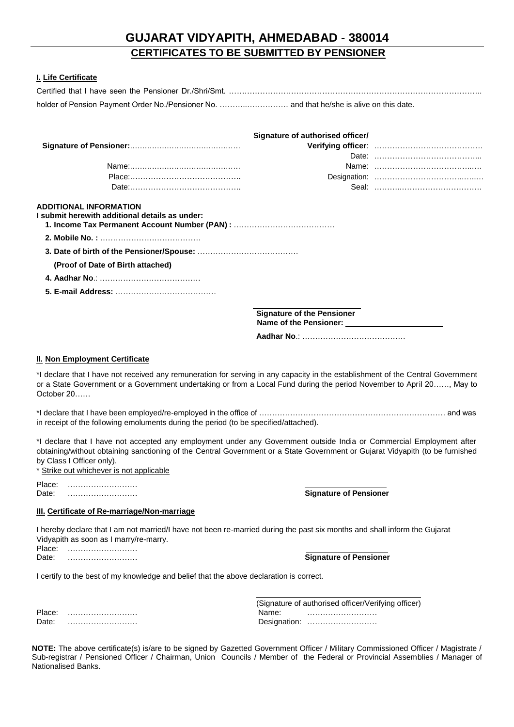# **GUJARAT VIDYAPITH, AHMEDABAD - 380014 CERTIFICATES TO BE SUBMITTED BY PENSIONER**

### **I. Life Certificate**

| holder of Pension Payment Order No./Pensioner No.  and that he/she is alive on this date. |                                   |  |
|-------------------------------------------------------------------------------------------|-----------------------------------|--|
|                                                                                           | Signature of authorised officer/  |  |
|                                                                                           |                                   |  |
|                                                                                           |                                   |  |
|                                                                                           |                                   |  |
|                                                                                           |                                   |  |
|                                                                                           |                                   |  |
|                                                                                           |                                   |  |
| (Proof of Date of Birth attached)                                                         |                                   |  |
|                                                                                           |                                   |  |
|                                                                                           |                                   |  |
|                                                                                           | <b>Signature of the Pensioner</b> |  |
|                                                                                           | Aadhar No.: …………………………………         |  |

#### **II. Non Employment Certificate**

\*I declare that I have not received any remuneration for serving in any capacity in the establishment of the Central Government or a State Government or a Government undertaking or from a Local Fund during the period November to April 20……, May to October 20……

\*I declare that I have been employed/re-employed in the office of ……………………………………………………………… and was in receipt of the following emoluments during the period (to be specified/attached).

\*I declare that I have not accepted any employment under any Government outside India or Commercial Employment after obtaining/without obtaining sanctioning of the Central Government or a State Government or Gujarat Vidyapith (to be furnished by Class I Officer only).

\* Strike out whichever is not applicable

Place: ……………………… Date: ……………………… **Signature of Pensioner**

#### **III. Certificate of Re-marriage/Non-marriage**

I hereby declare that I am not married/I have not been re-married during the past six months and shall inform the Gujarat Vidyapith as soon as I marry/re-marry.

Place: ……………………… Date: ……………………… **Signature of Pensioner**

I certify to the best of my knowledge and belief that the above declaration is correct.

| Place: |  |  |  |  |  |  |  |  |  |  |  |  |  |  |
|--------|--|--|--|--|--|--|--|--|--|--|--|--|--|--|
| Date:  |  |  |  |  |  |  |  |  |  |  |  |  |  |  |

|        | (Signature of authorised officer/Verifying officer) |  |  |  |  |  |  |  |
|--------|-----------------------------------------------------|--|--|--|--|--|--|--|
| Place: | Name:                                               |  |  |  |  |  |  |  |
| Date:  | Designation:                                        |  |  |  |  |  |  |  |

**NOTE:** The above certificate(s) is/are to be signed by Gazetted Government Officer / Military Commissioned Officer / Magistrate / Sub-registrar / Pensioned Officer / Chairman, Union Councils / Member of the Federal or Provincial Assemblies / Manager of Nationalised Banks.